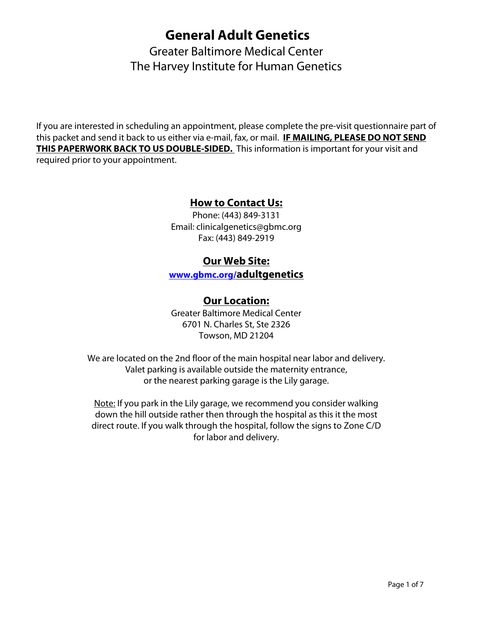# **General Adult Genetics**

Greater Baltimore Medical Center The Harvey Institute for Human Genetics

If you are interested in scheduling an appointment, please complete the pre-visit questionnaire part of this packet and send it back to us either via e-mail, fax, or mail. **IF MAILING, PLEASE DO NOT SEND THIS PAPERWORK BACK TO US DOUBLE-SIDED.** This information is important for your visit and required prior to your appointment.

#### **How to Contact Us:**

Phone: (443) 849-3131 Email: clinicalgenetics@gbmc.org Fax: (443) 849-2919

#### **Our Web Site:**

**[www.gbmc.org/a](www.gbmc.org/cancergenetics)dultgenetics** 

#### **Our Location:**

Greater Baltimore Medical Center 6701 N. Charles St, Ste 2326 Towson, MD 21204

We are located on the 2nd floor of the main hospital near labor and delivery. Valet parking is available outside the maternity entrance, or the nearest parking garage is the Lily garage.

Note: If you park in the Lily garage, we recommend you consider walking down the hill outside rather then through the hospital as this it the most direct route. If you walk through the hospital, follow the signs to Zone C/D for labor and delivery.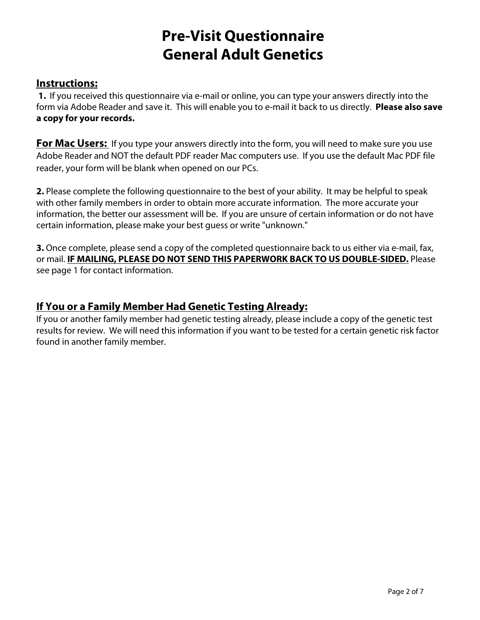# **Pre-Visit Questionnaire General Adult Genetics**

#### **Instructions:**

**1.** If you received this questionnaire via e-mail or online, you can type your answers directly into the form via Adobe Reader and save it. This will enable you to e-mail it back to us directly. **Please also save a copy for your records.**

**For Mac Users:** If you type your answers directly into the form, you will need to make sure you use Adobe Reader and NOT the default PDF reader Mac computers use. If you use the default Mac PDF file reader, your form will be blank when opened on our PCs.

**2.** Please complete the following questionnaire to the best of your ability. It may be helpful to speak with other family members in order to obtain more accurate information. The more accurate your information, the better our assessment will be. If you are unsure of certain information or do not have certain information, please make your best guess or write "unknown."

**3.** Once complete, please send a copy of the completed questionnaire back to us either via e-mail, fax, or mail. **IF MAILING, PLEASE DO NOT SEND THIS PAPERWORK BACK TO US DOUBLE-SIDED.** Please see page 1 for contact information.

#### **If You or a Family Member Had Genetic Testing Already:**

If you or another family member had genetic testing already, please include a copy of the genetic test results for review. We will need this information if you want to be tested for a certain genetic risk factor found in another family member.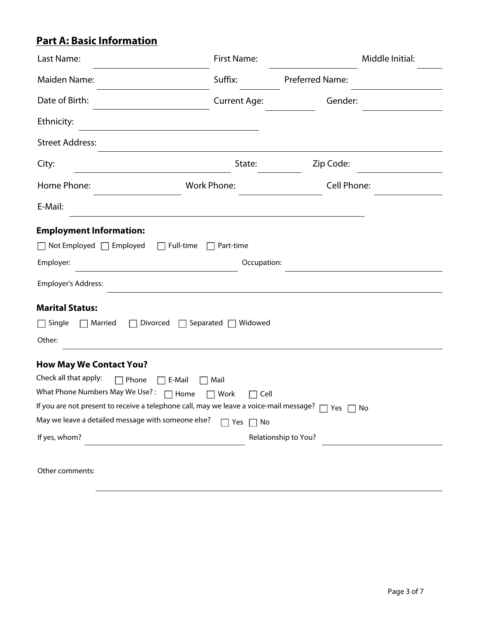# **Part A: Basic Information**

| Last Name:                                                                                                                                                                                                                                                                                                                                                | <b>First Name:</b>                    |                      | Middle Initial: |
|-----------------------------------------------------------------------------------------------------------------------------------------------------------------------------------------------------------------------------------------------------------------------------------------------------------------------------------------------------------|---------------------------------------|----------------------|-----------------|
| <b>Maiden Name:</b>                                                                                                                                                                                                                                                                                                                                       | Suffix:                               | Preferred Name:      |                 |
| Date of Birth:                                                                                                                                                                                                                                                                                                                                            | <b>Current Age:</b>                   | Gender:              |                 |
| Ethnicity:                                                                                                                                                                                                                                                                                                                                                |                                       |                      |                 |
| <b>Street Address:</b>                                                                                                                                                                                                                                                                                                                                    |                                       |                      |                 |
| City:                                                                                                                                                                                                                                                                                                                                                     | State:                                | Zip Code:            |                 |
| Home Phone:                                                                                                                                                                                                                                                                                                                                               | <b>Work Phone:</b>                    | Cell Phone:          |                 |
| E-Mail:                                                                                                                                                                                                                                                                                                                                                   |                                       |                      |                 |
| <b>Employment Information:</b><br>$\Box$ Not Employed $\Box$ Employed<br>Full-time<br>Employer:<br>Employer's Address:                                                                                                                                                                                                                                    | Part-time<br>Occupation:              |                      |                 |
| <b>Marital Status:</b><br>$\Box$ Single<br>Divorced<br>Married<br>Other:                                                                                                                                                                                                                                                                                  | Separated<br>Widowed                  |                      |                 |
| <b>How May We Contact You?</b><br>Check all that apply:<br>Phone<br>E-Mail<br>What Phone Numbers May We Use?:<br>Home<br>If you are not present to receive a telephone call, may we leave a voice-mail message? $\Box$ Yes $\Box$ No<br>May we leave a detailed message with someone else?<br>If yes, whom?<br><u> 1980 - Johann Barn, mars ann an t-</u> | Mail<br>Work<br>Cell<br>Yes $\Box$ No | Relationship to You? |                 |

Other comments: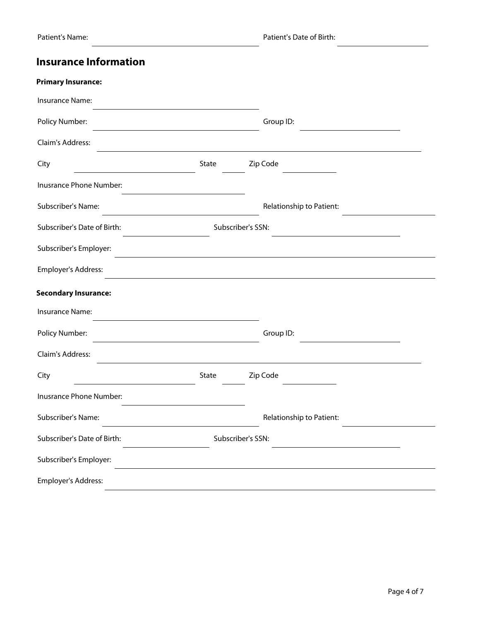## **Insurance Information**

| <b>Primary Insurance:</b>                        |       |                          |  |
|--------------------------------------------------|-------|--------------------------|--|
| <b>Insurance Name:</b>                           |       |                          |  |
| Policy Number:                                   |       | Group ID:                |  |
| Claim's Address:                                 |       |                          |  |
| City                                             | State | Zip Code                 |  |
| Inusrance Phone Number:                          |       |                          |  |
| Subscriber's Name:                               |       | Relationship to Patient: |  |
| Subscriber's Date of Birth:                      |       | Subscriber's SSN:        |  |
| Subscriber's Employer:                           |       |                          |  |
| Employer's Address:                              |       |                          |  |
| <b>Secondary Insurance:</b>                      |       |                          |  |
| Insurance Name:                                  |       |                          |  |
| Policy Number:                                   |       | Group ID:                |  |
| Claim's Address:                                 |       |                          |  |
| City                                             | State | Zip Code                 |  |
| Inusrance Phone Number:                          |       |                          |  |
| Subscriber's Name:                               |       | Relationship to Patient: |  |
| Subscriber's Date of Birth:<br>Subscriber's SSN: |       |                          |  |
| Subscriber's Employer:                           |       |                          |  |
| Employer's Address:                              |       |                          |  |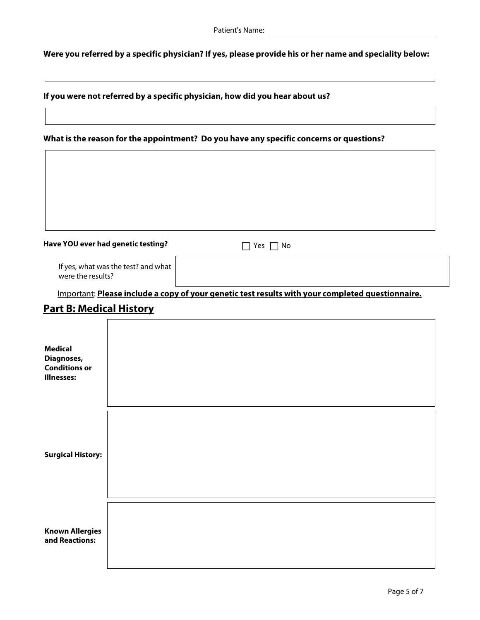**Were you referred by a specific physician? If yes, please provide his or her name and speciality below:**

**If you were not referred by a specific physician, how did you hear about us?**

#### **What is the reason for the appointment? Do you have any specific concerns or questions?**

| Have YOU ever had genetic testing? | No<br>Yes |  |
|------------------------------------|-----------|--|

If yes, what was the test? and what were the results?

Important: **Please include a copy of your genetic test results with your completed questionnaire.**

#### **Part B: Medical History**

 $\Gamma$ 

| <b>Medical</b><br>Diagnoses,<br><b>Conditions or</b><br><b>Illnesses:</b> |  |
|---------------------------------------------------------------------------|--|
| <b>Surgical History:</b>                                                  |  |
| <b>Known Allergies</b><br>and Reactions:                                  |  |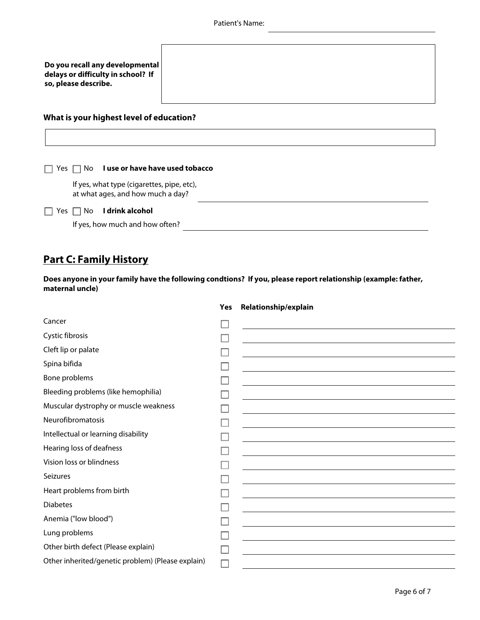#### **What is your highest level of education?**

|            | $\Box$ Yes $\Box$ No <b>luse or have have used tobacco</b>                      |
|------------|---------------------------------------------------------------------------------|
|            | If yes, what type (cigarettes, pipe, etc),<br>at what ages, and how much a day? |
| Yes $\Box$ | I drink alcohol<br>No.                                                          |
|            | If yes, how much and how often?                                                 |

## **Part C: Family History**

 $\Gamma$ 

**Does anyone in your family have the following condtions? If you, please report relationship (example: father, maternal uncle)**

| Cancer                                            |                                                                                                                                                                                                                               |
|---------------------------------------------------|-------------------------------------------------------------------------------------------------------------------------------------------------------------------------------------------------------------------------------|
| Cystic fibrosis                                   |                                                                                                                                                                                                                               |
| Cleft lip or palate                               |                                                                                                                                                                                                                               |
| Spina bifida                                      | the control of the control of the control of the control of the control of the control of the control of the control of the control of the control of the control of the control of the control of the control of the control |
| Bone problems                                     | the control of the control of the control of the control of the control of the control of the control of the control of the control of the control of the control of the control of the control of the control of the control |
| Bleeding problems (like hemophilia)               | the control of the control of the control of the control of the control of the control of the control of the control of the control of the control of the control of the control of the control of the control of the control |
| Muscular dystrophy or muscle weakness             | and the control of the control of the control of the control of the control of the control of the control of the                                                                                                              |
| Neurofibromatosis                                 | and the control of the control of the control of the control of the control of the control of the control of the                                                                                                              |
| Intellectual or learning disability               | and the control of the control of the control of the control of the control of the control of the control of the                                                                                                              |
| Hearing loss of deafness                          | and the control of the control of the control of the control of the control of the control of the control of the                                                                                                              |
| Vision loss or blindness                          |                                                                                                                                                                                                                               |
| <b>Seizures</b>                                   | <u> 1980 - Johann Stein, marwolaethau (b. 1980)</u>                                                                                                                                                                           |
| Heart problems from birth                         | and the control of the control of the control of the control of the control of the control of the control of the                                                                                                              |
| <b>Diabetes</b>                                   | and the control of the control of the control of the control of the control of the control of the control of the                                                                                                              |
| Anemia ("low blood")                              |                                                                                                                                                                                                                               |
| Lung problems                                     |                                                                                                                                                                                                                               |
| Other birth defect (Please explain)               |                                                                                                                                                                                                                               |
| Other inherited/genetic problem) (Please explain) |                                                                                                                                                                                                                               |
|                                                   |                                                                                                                                                                                                                               |

#### **Yes Relationship/explain**